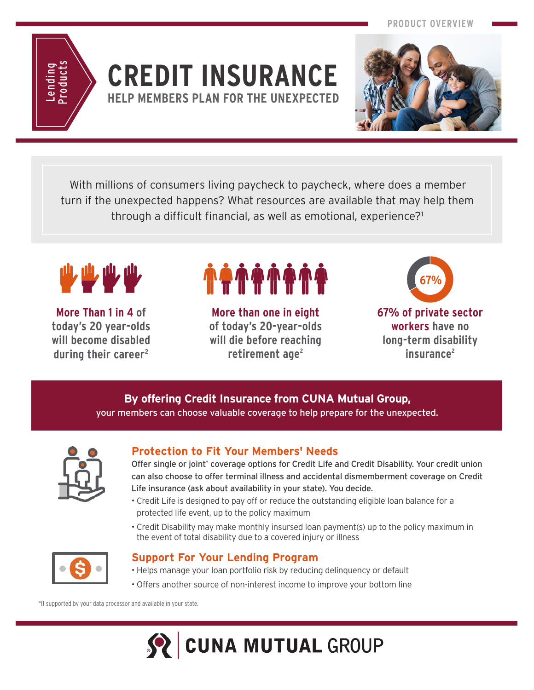

## **CREDIT INSURANCE HELP MEMBERS PLAN FOR THE UNEXPECTED**



With millions of consumers living paycheck to paycheck, where does a member turn if the unexpected happens? What resources are available that may help them through a difficult financial, as well as emotional, experience?1



**More Than 1 in 4 of today's 20 year-olds will become disabled during their career2**

**More than one in eight of today's 20-year-olds will die before reaching**  retirement age<sup>2</sup>



**workers have no long-term disability insurance2**

#### **By offering Credit Insurance from CUNA Mutual Group,** your members can choose valuable coverage to help prepare for the unexpected.



### **Protection to Fit Your Members' Needs**

Offer single or joint\* coverage options for Credit Life and Credit Disability. Your credit union can also choose to offer terminal illness and accidental dismemberment coverage on Credit Life insurance (ask about availability in your state). You decide.

- Credit Life is designed to pay off or reduce the outstanding eligible loan balance for a protected life event, up to the policy maximum
- Credit Disability may make monthly insursed loan payment(s) up to the policy maximum in the event of total disability due to a covered injury or illness



#### **Support For Your Lending Program**

- Helps manage your loan portfolio risk by reducing delinquency or default
- Offers another source of non-interest income to improve your bottom line

\*If supported by your data processor and available in your state.